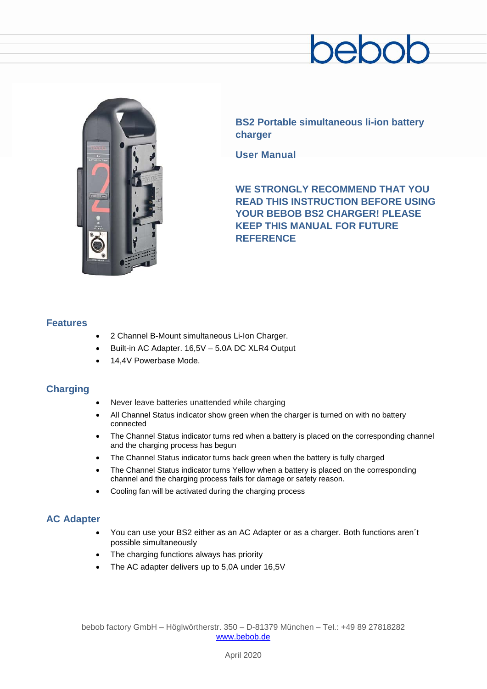# enc



**BS2 Portable simultaneous li-ion battery charger**

**User Manual**

**WE STRONGLY RECOMMEND THAT YOU READ THIS INSTRUCTION BEFORE USING YOUR BEBOB BS2 CHARGER! PLEASE KEEP THIS MANUAL FOR FUTURE REFERENCE**

## **Features**

- 2 Channel B-Mount simultaneous Li-Ion Charger.
- Built-in AC Adapter. 16,5V 5.0A DC XLR4 Output
- 14,4V Powerbase Mode.

# **Charging**

- Never leave batteries unattended while charging
- All Channel Status indicator show green when the charger is turned on with no battery connected
- The Channel Status indicator turns red when a battery is placed on the corresponding channel and the charging process has begun
- The Channel Status indicator turns back green when the battery is fully charged
- The Channel Status indicator turns Yellow when a battery is placed on the corresponding channel and the charging process fails for damage or safety reason.
- Cooling fan will be activated during the charging process

# **AC Adapter**

- You can use your BS2 either as an AC Adapter or as a charger. Both functions aren´t possible simultaneously
- The charging functions always has priority
- The AC adapter delivers up to 5,0A under 16,5V